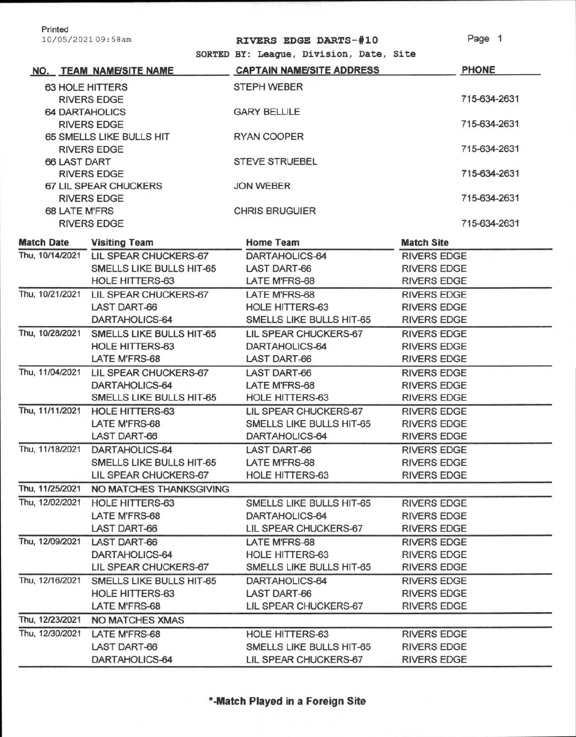| Printed                  |                                       |                                         |                    |
|--------------------------|---------------------------------------|-----------------------------------------|--------------------|
|                          | 10/05/202109:58am                     | RIVERS EDGE DARTS-#10                   | Page 1             |
|                          |                                       | SORTED BY: League, Division, Date, Site |                    |
|                          | NO. TEAM NAME/SITE NAME               | <b>CAPTAIN NAME/SITE ADDRESS</b>        | <b>PHONE</b>       |
| 63 HOLE HITTERS          |                                       | <b>STEPH WEBER</b>                      |                    |
| <b>RIVERS EDGE</b>       |                                       |                                         | 715-634-2631       |
| <b>64 DARTAHOLICS</b>    |                                       | <b>GARY BELLILE</b>                     |                    |
| <b>RIVERS EDGE</b>       |                                       |                                         | 715-634-2631       |
| 65 SMELLS LIKE BULLS HIT |                                       | <b>RYAN COOPER</b>                      |                    |
| <b>RIVERS EDGE</b>       |                                       |                                         | 715-634-2631       |
| <b>66 LAST DART</b>      |                                       | <b>STEVE STRUEBEL</b>                   |                    |
| <b>RIVERS EDGE</b>       |                                       |                                         | 715-634-2631       |
| 67 LIL SPEAR CHUCKERS    |                                       | <b>JON WEBER</b>                        |                    |
|                          | <b>RIVERS EDGE</b>                    |                                         | 715-634-2631       |
| <b>68 LATE M'FRS</b>     |                                       | <b>CHRIS BRUGUIER</b>                   |                    |
|                          | <b>RIVERS EDGE</b>                    |                                         | 715-634-2631       |
| <b>Match Date</b>        | <b>Visiting Team</b>                  | <b>Home Team</b>                        | <b>Match Site</b>  |
|                          | Thu, 10/14/2021 LIL SPEAR CHUCKERS-67 | DARTAHOLICS-64                          | <b>RIVERS EDGE</b> |
|                          | SMELLS LIKE BULLS HIT-65              | <b>LAST DART-66</b>                     | <b>RIVERS EDGE</b> |
|                          | HOLE HITTERS-63                       | LATE M'FRS-68                           | <b>RIVERS EDGE</b> |
| Thu, 10/21/2021          | LIL SPEAR CHUCKERS-67                 | LATE M'FRS-68                           | <b>RIVERS EDGE</b> |
|                          | <b>LAST DART-66</b>                   | <b>HOLE HITTERS-63</b>                  | <b>RIVERS EDGE</b> |
|                          | DARTAHOLICS-64                        | SMELLS LIKE BULLS HIT-65                | <b>RIVERS EDGE</b> |
| Thu, 10/28/2021          | SMELLS LIKE BULLS HIT-65              | LIL SPEAR CHUCKERS-67                   | <b>RIVERS EDGE</b> |
|                          | <b>HOLE HITTERS-63</b>                | DARTAHOLICS-64                          | <b>RIVERS EDGE</b> |
|                          | LATE M'FRS-68                         | <b>LAST DART-66</b>                     | <b>RIVERS EDGE</b> |
| Thu, 11/04/2021          | LIL SPEAR CHUCKERS-67                 | <b>LAST DART-66</b>                     | <b>RIVERS EDGE</b> |
|                          | DARTAHOLICS-64                        | LATE M'FRS-68                           | <b>RIVERS EDGE</b> |
|                          | SMELLS LIKE BULLS HIT-65              | <b>HOLE HITTERS-63</b>                  | <b>RIVERS EDGE</b> |
| Thu, 11/11/2021          | <b>HOLE HITTERS-63</b>                | LIL SPEAR CHUCKERS-67                   | <b>RIVERS EDGE</b> |
|                          | <b>LATE M'FRS-68</b>                  | SMELLS LIKE BULLS HIT-65                | <b>RIVERS EDGE</b> |
|                          | <b>LAST DART-66</b>                   | DARTAHOLICS-64                          | <b>RIVERS EDGE</b> |
|                          | Thu, 11/18/2021 DARTAHOLICS-64        | LAST DART-66                            | <b>RIVERS EDGE</b> |
|                          | SMELLS LIKE BULLS HIT-65              | LATE M'FRS-68                           | <b>RIVERS EDGE</b> |
|                          | LIL SPEAR CHUCKERS-67                 | <b>HOLE HITTERS-63</b>                  | <b>RIVERS EDGE</b> |
| Thu, 11/25/2021          | NO MATCHES THANKSGIVING               |                                         |                    |
| Thu, 12/02/2021          | HOLE HITTERS-63                       | SMELLS LIKE BULLS HIT-65                | <b>RIVERS EDGE</b> |
|                          | LATE M'FRS-68                         | DARTAHOLICS-64                          | <b>RIVERS EDGE</b> |
|                          | <b>LAST DART-66</b>                   | LIL SPEAR CHUCKERS-67                   | <b>RIVERS EDGE</b> |
| Thu, 12/09/2021          | <b>LAST DART-66</b>                   | LATE M'FRS-68                           | <b>RIVERS EDGE</b> |
|                          | DARTAHOLICS-64                        | <b>HOLE HITTERS-63</b>                  | <b>RIVERS EDGE</b> |
|                          | LIL SPEAR CHUCKERS-67                 | SMELLS LIKE BULLS HIT-65                | <b>RIVERS EDGE</b> |
| Thu, 12/16/2021          | SMELLS LIKE BULLS HIT-65              | DARTAHOLICS-64                          | <b>RIVERS EDGE</b> |
|                          | <b>HOLE HITTERS-63</b>                | <b>LAST DART-66</b>                     | <b>RIVERS EDGE</b> |
|                          | LATE M'FRS-68                         | LIL SPEAR CHUCKERS-67                   | <b>RIVERS EDGE</b> |
| Thu, 12/23/2021          | <b>NO MATCHES XMAS</b>                |                                         |                    |
| Thu, 12/30/2021          | LATE M'FRS-68                         | <b>HOLE HITTERS-63</b>                  | <b>RIVERS EDGE</b> |
|                          | <b>LAST DART-66</b>                   | SMELLS LIKE BULLS HIT-65                | <b>RIVERS EDGE</b> |
|                          | DARTAHOLICS-64                        | LIL SPEAR CHUCKERS-67                   | <b>RIVERS EDGE</b> |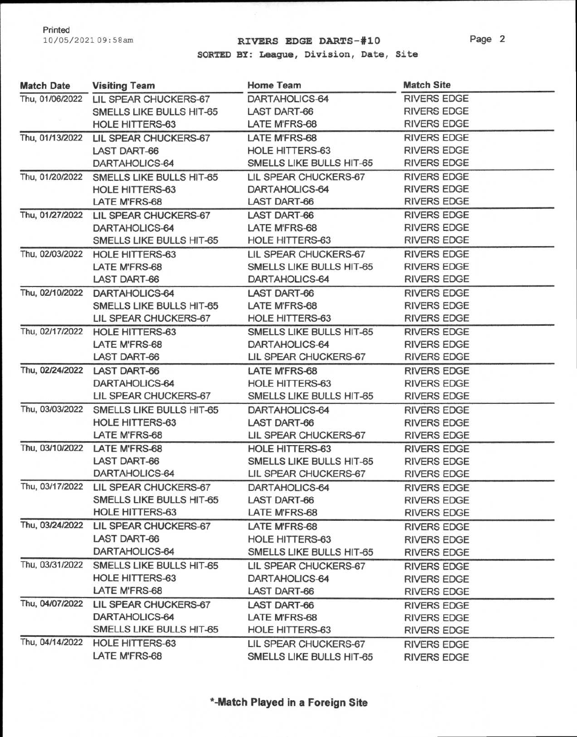## 10/05/202109:58am **RIVERS EDGE DARTS-#10**

**SORTED BY: League,** Division, **Date, Site** 

| <b>Match Date</b> | <b>Visiting Team</b>                  | Home Team                | <b>Match Site</b>  |
|-------------------|---------------------------------------|--------------------------|--------------------|
|                   | Thu, 01/06/2022 LIL SPEAR CHUCKERS-67 | DARTAHOLICS-64           | <b>RIVERS EDGE</b> |
|                   | SMELLS LIKE BULLS HIT-65              | <b>LAST DART-66</b>      | <b>RIVERS EDGE</b> |
|                   | <b>HOLE HITTERS-63</b>                | LATE M'FRS-68            | <b>RIVERS EDGE</b> |
|                   | Thu, 01/13/2022 LIL SPEAR CHUCKERS-67 | LATE M'FRS-68            | <b>RIVERS EDGE</b> |
|                   | <b>LAST DART-66</b>                   | HOLE HITTERS-63          | <b>RIVERS EDGE</b> |
|                   | DARTAHOLICS-64                        | SMELLS LIKE BULLS HIT-65 | <b>RIVERS EDGE</b> |
| Thu, 01/20/2022   | SMELLS LIKE BULLS HIT-65              | LIL SPEAR CHUCKERS-67    | <b>RIVERS EDGE</b> |
|                   | <b>HOLE HITTERS-63</b>                | DARTAHOLICS-64           | <b>RIVERS EDGE</b> |
|                   | <b>LATE M'FRS-68</b>                  | <b>LAST DART-66</b>      | <b>RIVERS EDGE</b> |
| Thu, 01/27/2022   | LIL SPEAR CHUCKERS-67                 | <b>LAST DART-66</b>      | <b>RIVERS EDGE</b> |
|                   | DARTAHOLICS-64                        | LATE M'FRS-68            | <b>RIVERS EDGE</b> |
|                   | SMELLS LIKE BULLS HIT-65              | HOLE HITTERS-63          | <b>RIVERS EDGE</b> |
|                   | Thu, 02/03/2022 HOLE HITTERS-63       | LIL SPEAR CHUCKERS-67    | <b>RIVERS EDGE</b> |
|                   | <b>LATE M'FRS-68</b>                  | SMELLS LIKE BULLS HIT-65 | <b>RIVERS EDGE</b> |
|                   | <b>LAST DART-66</b>                   | DARTAHOLICS-64           | <b>RIVERS EDGE</b> |
| Thu, 02/10/2022   | DARTAHOLICS-64                        | <b>LAST DART-66</b>      | <b>RIVERS EDGE</b> |
|                   | SMELLS LIKE BULLS HIT-65              | LATE M'FRS-68            | <b>RIVERS EDGE</b> |
|                   | LIL SPEAR CHUCKERS-67                 | HOLE HITTERS-63          | <b>RIVERS EDGE</b> |
|                   | Thu, 02/17/2022 HOLE HITTERS-63       | SMELLS LIKE BULLS HIT-65 | <b>RIVERS EDGE</b> |
|                   | LATE M'FRS-68                         | DARTAHOLICS-64           | <b>RIVERS EDGE</b> |
|                   | <b>LAST DART-66</b>                   | LIL SPEAR CHUCKERS-67    | <b>RIVERS EDGE</b> |
|                   | Thu, 02/24/2022 LAST DART-66          | <b>LATE M'FRS-68</b>     | <b>RIVERS EDGE</b> |
|                   | DARTAHOLICS-64                        | HOLE HITTERS-63          | <b>RIVERS EDGE</b> |
|                   | LIL SPEAR CHUCKERS-67                 | SMELLS LIKE BULLS HIT-65 | <b>RIVERS EDGE</b> |
| Thu, 03/03/2022   | SMELLS LIKE BULLS HIT-65              | DARTAHOLICS-64           | <b>RIVERS EDGE</b> |
|                   | HOLE HITTERS-63                       | <b>LAST DART-66</b>      | <b>RIVERS EDGE</b> |
|                   | LATE M'FRS-68                         | LIL SPEAR CHUCKERS-67    | <b>RIVERS EDGE</b> |
| Thu, 03/10/2022   | <b>LATE M'FRS-68</b>                  | <b>HOLE HITTERS-63</b>   | <b>RIVERS EDGE</b> |
|                   | <b>LAST DART-66</b>                   | SMELLS LIKE BULLS HIT-65 | <b>RIVERS EDGE</b> |
|                   | DARTAHOLICS-64                        | LIL SPEAR CHUCKERS-67    | <b>RIVERS EDGE</b> |
|                   | Thu, 03/17/2022 LIL SPEAR CHUCKERS-67 | DARTAHOLICS-64           | <b>RIVERS EDGE</b> |
|                   | SMELLS LIKE BULLS HIT-65              | <b>LAST DART-66</b>      | <b>RIVERS EDGE</b> |
|                   | HOLE HITTERS-63                       | LATE M'FRS-68            | <b>RIVERS EDGE</b> |
| Thu, 03/24/2022   | LIL SPEAR CHUCKERS-67                 | <b>LATE M'FRS-68</b>     | <b>RIVERS EDGE</b> |
|                   | <b>LAST DART-66</b>                   | HOLE HITTERS-63          | <b>RIVERS EDGE</b> |
|                   | DARTAHOLICS-64                        | SMELLS LIKE BULLS HIT-65 | <b>RIVERS EDGE</b> |
| Thu, 03/31/2022   | SMELLS LIKE BULLS HIT-65              | LIL SPEAR CHUCKERS-67    | <b>RIVERS EDGE</b> |
|                   | <b>HOLE HITTERS-63</b>                | DARTAHOLICS-64           | <b>RIVERS EDGE</b> |
|                   | LATE M'FRS-68                         | LAST DART-66             | <b>RIVERS EDGE</b> |
| Thu, 04/07/2022   | <b>LIL SPEAR CHUCKERS-67</b>          | <b>LAST DART-66</b>      | <b>RIVERS EDGE</b> |
|                   | DARTAHOLICS-64                        | LATE M'FRS-68            | <b>RIVERS EDGE</b> |
|                   | SMELLS LIKE BULLS HIT-65              | <b>HOLE HITTERS-63</b>   | <b>RIVERS EDGE</b> |
| Thu, 04/14/2022   | HOLE HITTERS-63                       | LIL SPEAR CHUCKERS-67    | <b>RIVERS EDGE</b> |
|                   | LATE M'FRS-68                         | SMELLS LIKE BULLS HIT-65 | <b>RIVERS EDGE</b> |